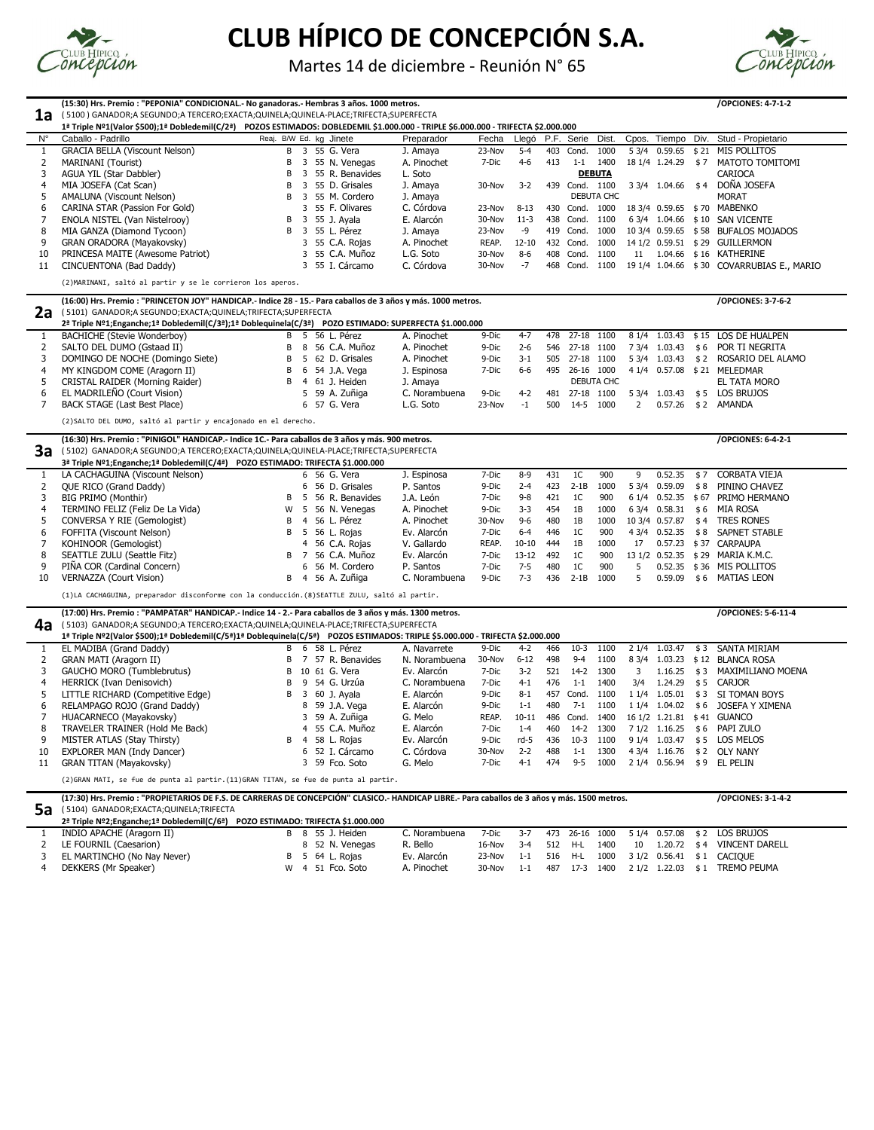|                                                     | (15:30) Hrs. Premio : "PEPONIA" CONDICIONAL.- No ganadoras.- Hembras 3 años. 1000 metros.                                                                                                                                 |    |                         |    |                                |                            |                 |               |            |                        |               |                |                          |     | /OPCIONES: 4-7-1-2                |
|-----------------------------------------------------|---------------------------------------------------------------------------------------------------------------------------------------------------------------------------------------------------------------------------|----|-------------------------|----|--------------------------------|----------------------------|-----------------|---------------|------------|------------------------|---------------|----------------|--------------------------|-----|-----------------------------------|
| 1a                                                  | (5100) GANADOR;A SEGUNDO;A TERCERO;EXACTA;QUINELA;QUINELA-PLACE;TRIFECTA;SUPERFECTA<br>1ª Triple Nº1(Valor \$500);1ª Dobledemil(C/2ª) POZOS ESTIMADOS: DOBLEDEMIL \$1.000.000 - TRIPLE \$6.000.000 - TRIFECTA \$2.000.000 |    |                         |    |                                |                            |                 |               |            |                        |               |                |                          |     |                                   |
| $N^{\circ}$                                         | Caballo - Padrillo                                                                                                                                                                                                        |    |                         |    | Reaj. B/W Ed. kg Jinete        | Preparador                 | Fecha           | Llegó         |            | P.F. Serie             | Dist.         | Cpos.          | Tiempo                   |     | Div. Stud - Propietario           |
| $\mathbf{1}$                                        | <b>GRACIA BELLA (Viscount Nelson)</b>                                                                                                                                                                                     |    | B                       |    | 3 55 G. Vera                   | J. Amaya                   | 23-Nov          | $5 - 4$       | 403        | Cond.                  | 1000          |                | 5 3/4 0.59.65            |     | \$21 MIS POLLITOS                 |
| 2                                                   | <b>MARINANI</b> (Tourist)                                                                                                                                                                                                 | B  |                         | 3  | 55 N. Venegas                  | A. Pinochet                | 7-Dic           | $4 - 6$       | 413        | $1-1$                  | 1400          |                | 18 1/4 1.24.29 \$7       |     | MATOTO TOMITOMI                   |
| 3                                                   | AGUA YIL (Star Dabbler)                                                                                                                                                                                                   | B  |                         |    | 55 R. Benavides                | L. Soto                    |                 |               |            |                        | <b>DEBUTA</b> |                |                          |     | <b>CARIOCA</b>                    |
| 4                                                   | MIA JOSEFA (Cat Scan)                                                                                                                                                                                                     | B  |                         | 3  | 55 D. Grisales                 | J. Amaya                   | 30-Nov          | $3 - 2$       | 439        | Cond. 1100             |               |                | 3 3/4 1.04.66 \$4        |     | DOÑA JOSEFA                       |
| 5                                                   | AMALUNA (Viscount Nelson)                                                                                                                                                                                                 | B  |                         | 3  | 55 M. Cordero                  | J. Amaya                   |                 |               |            |                        | DEBUTA CHC    |                |                          |     | <b>MORAT</b>                      |
| 6                                                   | CARINA STAR (Passion For Gold)                                                                                                                                                                                            |    |                         |    | 55 F. Olivares                 | C. Córdova                 | 23-Nov          | $8 - 13$      | 430        | Cond.                  | 1000          |                | 18 3/4 0.59.65           |     | \$70 MABENKO                      |
|                                                     | ENOLA NISTEL (Van Nistelrooy)                                                                                                                                                                                             | B  |                         | 3  | 55 J. Ayala                    | E. Alarcón                 | 30-Nov          | $11-3$        |            | 438 Cond.              | 1100          |                |                          |     | 6 3/4 1.04.66 \$10 SAN VICENTE    |
| 8                                                   | MIA GANZA (Diamond Tycoon)                                                                                                                                                                                                | B  | $\overline{\mathbf{3}}$ |    | 55 L. Pérez                    | J. Amaya                   | 23-Nov          | -9            |            | 419 Cond.              | 1000          |                | 10 3/4 0.59.65           |     | \$58 BUFALOS MOJADOS              |
| 9                                                   | GRAN ORADORA (Mayakovsky)                                                                                                                                                                                                 |    |                         |    | 3 55 C.A. Rojas                | A. Pinochet                | REAP.           | $12 - 10$     |            | 432 Cond.              | 1000          |                | 14 1/2 0.59.51           |     | \$29 GUILLERMON                   |
|                                                     |                                                                                                                                                                                                                           |    |                         |    | 3 55 C.A. Muñoz                | L.G. Soto                  | 30-Nov          | $8-6$         |            | 408 Cond.              | 1100          |                | 11 1.04.66               |     | \$16 KATHERINE                    |
| 10                                                  | PRINCESA MAITE (Awesome Patriot)<br>CINCUENTONA (Bad Daddy)                                                                                                                                                               |    |                         |    | 3 55 I. Cárcamo                |                            |                 |               |            |                        |               |                |                          |     |                                   |
| 11                                                  |                                                                                                                                                                                                                           |    |                         |    |                                | C. Córdova                 | 30-Nov          | -7            | 468        | Cond.                  | 1100          |                | 19 1/4 1.04.66           |     | \$30 COVARRUBIAS E., MARIO        |
|                                                     | (2) MARINANI, saltó al partir y se le corrieron los aperos.                                                                                                                                                               |    |                         |    |                                |                            |                 |               |            |                        |               |                |                          |     |                                   |
|                                                     | (16:00) Hrs. Premio : "PRINCETON JOY" HANDICAP.- Indice 28 - 15.- Para caballos de 3 años y más. 1000 metros.                                                                                                             |    |                         |    |                                |                            |                 |               |            |                        |               |                |                          |     | /OPCIONES: 3-7-6-2                |
| 2a                                                  | (5101) GANADOR; A SEGUNDO; EXACTA; QUINELA; TRIFECTA; SUPERFECTA<br>2ª Triple Nº1;Enganche;1ª Dobledemil(C/3ª);1ª Doblequinela(C/3ª) POZO ESTIMADO: SUPERFECTA \$1.000.000                                                |    |                         |    |                                |                            |                 |               |            |                        |               |                |                          |     |                                   |
|                                                     | <b>BACHICHE (Stevie Wonderboy)</b>                                                                                                                                                                                        | B  |                         | 5  | 56 L. Pérez                    | A. Pinochet                | 9-Dic           | $4 - 7$       | 478        | 27-18 1100             |               |                | 8 1/4 1.03.43            |     | \$15 LOS DE HUALPEN               |
| $\overline{2}$                                      | SALTO DEL DUMO (Gstaad II)                                                                                                                                                                                                | B  |                         | 8  | 56 C.A. Muñoz                  | A. Pinochet                | 9-Dic           | $2 - 6$       |            | 546 27-18 1100         |               |                | 7 3/4 1.03.43            | \$6 | POR TI NEGRITA                    |
|                                                     | DOMINGO DE NOCHE (Domingo Siete)                                                                                                                                                                                          | В  |                         | 5  | 62 D. Grisales                 | A. Pinochet                | 9-Dic           | $3 - 1$       | 505        | 27-18 1100             |               |                | 5 3/4 1.03.43            | \$2 | ROSARIO DEL ALAMO                 |
| 3                                                   |                                                                                                                                                                                                                           |    |                         |    |                                |                            | 7-Dic           | $6-6$         |            | 26-16 1000             |               |                |                          |     |                                   |
| 4                                                   | MY KINGDOM COME (Aragorn II)                                                                                                                                                                                              | B  |                         | 6  | 54 J.A. Vega                   | J. Espinosa                |                 |               | 495        |                        | DEBUTA CHC    |                |                          |     | 4 1/4 0.57.08 \$21 MELEDMAR       |
| 5<br>6                                              | CRISTAL RAIDER (Morning Raider)                                                                                                                                                                                           | B  |                         | 4  | 61 J. Heiden                   | J. Amaya                   |                 |               |            |                        |               |                |                          |     | EL TATA MORO                      |
| 7                                                   | EL MADRILEÑO (Court Vision)<br><b>BACK STAGE (Last Best Place)</b>                                                                                                                                                        |    |                         |    | 5 59 A. Zuñiga<br>6 57 G. Vera | C. Norambuena<br>L.G. Soto | 9-Dic<br>23-Nov | $4-2$<br>$-1$ | 481<br>500 | 27-18 1100<br>$14 - 5$ | 1000          | $\overline{2}$ | 5 3/4 1.03.43<br>0.57.26 | \$5 | <b>LOS BRUJOS</b><br>\$2 AMANDA   |
|                                                     |                                                                                                                                                                                                                           |    |                         |    |                                |                            |                 |               |            |                        |               |                |                          |     |                                   |
|                                                     |                                                                                                                                                                                                                           |    |                         |    |                                |                            |                 |               |            |                        |               |                |                          |     |                                   |
|                                                     | (2) SALTO DEL DUMO, saltó al partir y encajonado en el derecho.                                                                                                                                                           |    |                         |    |                                |                            |                 |               |            |                        |               |                |                          |     |                                   |
|                                                     | (16:30) Hrs. Premio : "PINIGOL" HANDICAP.- Indice 1C.- Para caballos de 3 años y más. 900 metros.                                                                                                                         |    |                         |    |                                |                            |                 |               |            |                        |               |                |                          |     | /OPCIONES: 6-4-2-1                |
|                                                     | (5102) GANADOR;A SEGUNDO;A TERCERO;EXACTA;QUINELA;QUINELA-PLACE;TRIFECTA;SUPERFECTA                                                                                                                                       |    |                         |    |                                |                            |                 |               |            |                        |               |                |                          |     |                                   |
|                                                     | 3ª Triple Nº1;Enganche;1ª Dobledemil(C/4ª) POZO ESTIMADO: TRIFECTA \$1.000.000                                                                                                                                            |    |                         |    |                                |                            |                 |               |            |                        |               |                |                          |     |                                   |
|                                                     | LA CACHAGUINA (Viscount Nelson)                                                                                                                                                                                           |    |                         |    | 6 56 G. Vera                   | J. Espinosa                | 7-Dic           | $8 - 9$       | 431        | 1 <sup>C</sup>         | 900           | 9              | 0.52.35                  | \$7 | <b>CORBATA VIEJA</b>              |
|                                                     | QUE RICO (Grand Daddy)                                                                                                                                                                                                    |    |                         | 6  | 56 D. Grisales                 | P. Santos                  | 9-Dic           | $2 - 4$       | 423        | $2-1B$                 | 1000          |                | 5 3/4 0.59.09            | \$8 | PININO CHAVEZ                     |
|                                                     | <b>BIG PRIMO (Monthir)</b>                                                                                                                                                                                                | B  |                         | -5 | 56 R. Benavides                | J.A. León                  | 7-Dic           | $9 - 8$       | 421        | 1 <sup>C</sup>         | 900           |                |                          |     | 6 1/4 0.52.35 \$ 67 PRIMO HERMANO |
|                                                     | TERMINO FELIZ (Feliz De La Vida)                                                                                                                                                                                          | W  |                         | 5  | 56 N. Venegas                  | A. Pinochet                | 9-Dic           | $3 - 3$       | 454        | 1B                     | 1000          |                | 6 3/4 0.58.31 \$6        |     | MIA ROSA                          |
|                                                     | CONVERSA Y RIE (Gemologist)                                                                                                                                                                                               | в  |                         |    | 56 L. Pérez                    | A. Pinochet                | 30-Nov          | $9 - 6$       | 480        | 1B                     | 1000          |                |                          |     | 10 3/4 0.57.87 \$4 TRES RONES     |
|                                                     | FOFFITA (Viscount Nelson)                                                                                                                                                                                                 | B  | - 5                     |    | 56 L. Rojas                    | Ev. Alarcón                | 7-Dic           | $6 - 4$       | 446        | 1 <sup>C</sup>         | 900           |                | 4 3/4 0.52.35            |     | \$8 SAPNET STABLE                 |
|                                                     | KOHINOOR (Gemologist)                                                                                                                                                                                                     |    |                         |    | 4 56 C.A. Rojas                | V. Gallardo                | REAP.           | $10 - 10$     | 444        | 1B                     | 1000          | 17             |                          |     | 0.57.23 \$37 CARPAUPA             |
| 3a<br>-1<br>$\overline{2}$<br>3<br>4<br>5<br>6<br>8 | SEATTLE ZULU (Seattle Fitz)                                                                                                                                                                                               | B  |                         |    | 56 C.A. Muñoz                  | Ev. Alarcón                | 7-Dic           | $13 - 12$     | 492        | 1 <sup>C</sup>         | 900           |                | 13 1/2 0.52.35           |     | \$29 MARIA K.M.C.                 |
|                                                     | PIÑA COR (Cardinal Concern)                                                                                                                                                                                               |    |                         |    | 56 M. Cordero                  | P. Santos                  | 7-Dic           | $7 - 5$       | 480        | 1 <sup>C</sup>         | 900           | 5.             | 0.52.35                  |     | \$36 MIS POLLITOS                 |
|                                                     | VERNAZZA (Court Vision)                                                                                                                                                                                                   | B  | - 4                     |    | 56 A. Zuñiga                   | C. Norambuena              | 9-Dic           | $7 - 3$       | 436        | $2-1B$                 | 1000          | 5              | 0.59.09                  |     | \$6 MATIAS LEON                   |
|                                                     | (1)LA CACHAGUINA, preparador disconforme con la conducción. (8)SEATTLE ZULU, saltó al partir.                                                                                                                             |    |                         |    |                                |                            |                 |               |            |                        |               |                |                          |     |                                   |
| 9<br>10                                             | (17:00) Hrs. Premio : "PAMPATAR" HANDICAP.- Indice 14 - 2.- Para caballos de 3 años y más. 1300 metros.                                                                                                                   |    |                         |    |                                |                            |                 |               |            |                        |               |                |                          |     | /OPCIONES: 5-6-11-4               |
|                                                     | (5103) GANADOR;A SEGUNDO;A TERCERO;EXACTA;QUINELA;QUINELA-PLACE;TRIFECTA;SUPERFECTA                                                                                                                                       |    |                         |    |                                |                            |                 |               |            |                        |               |                |                          |     |                                   |
|                                                     | 1ª Triple Nº2(Valor \$500);1ª Dobledemil(C/5ª)1ª Doblequinela(C/5ª) POZOS ESTIMADOS: TRIPLE \$5.000.000 - TRIFECTA \$2.000.000                                                                                            |    |                         |    |                                |                            |                 |               |            |                        |               |                |                          |     |                                   |
|                                                     | EL MADIBA (Grand Daddy)                                                                                                                                                                                                   | B  |                         |    | 6 58 L. Pérez                  | A. Navarrete               | 9-Dic           | $4 - 2$       | 466        | $10-3$                 | 1100          |                | 2 1/4 1.03.47            | \$3 | SANTA MIRIAM                      |
|                                                     | <b>GRAN MATI (Aragorn II)</b>                                                                                                                                                                                             | В  |                         | 7  | 57 R. Benavides                | N. Norambuena              | 30-Nov          | $6 - 12$      | 498        | $9 - 4$                | 1100          |                | 8 3/4 1.03.23            |     | \$12 BLANCA ROSA                  |
|                                                     | GAUCHO MORO (Tumblebrutus)                                                                                                                                                                                                | B. |                         |    | 10 61 G. Vera                  | Ev. Alarcón                | 7-Dic           | $3 - 2$       | 521        | $14 - 2$               | 1300          | 3              | 1.16.25                  | \$3 | MAXIMILIANO MOENA                 |
| 4a<br>2<br>3<br>4                                   | HERRICK (Ivan Denisovich)                                                                                                                                                                                                 | B  |                         | 9  | 54 G. Urzúa                    | C. Norambuena              | 7-Dic           | $4 - 1$       | 476        | $1 - 1$                | 1400          | 3/4            | 1.24.29                  |     | \$5 CARJOR                        |
|                                                     | LITTLE RICHARD (Competitive Edge)                                                                                                                                                                                         | B  |                         | 3  | 60 J. Ayala                    | E. Alarcón                 | 9-Dic           | $8 - 1$       | 457        | Cond.                  | 1100          |                | 1 1/4 1.05.01            | \$3 | SI TOMAN BOYS                     |
|                                                     | RELAMPAGO ROJO (Grand Daddy)                                                                                                                                                                                              |    |                         |    | 8 59 J.A. Vega                 | E. Alarcón                 | 9-Dic           | $1 - 1$       | 480        | $7-1$                  | 1100          |                |                          |     | 1 1/4 1.04.02 \$6 JOSEFA Y XIMENA |
|                                                     | HUACARNECO (Mayakovsky)                                                                                                                                                                                                   |    |                         |    | 59 A. Zuñiga                   | G. Melo                    | REAP.           | $10 - 11$     | 486        | Cond.                  | 1400          |                |                          |     | 16 1/2 1.21.81 \$41 GUANCO        |
|                                                     | TRAVELER TRAINER (Hold Me Back)                                                                                                                                                                                           |    |                         |    | 55 C.A. Muñoz                  | E. Alarcón                 | 7-Dic           | $1 - 4$       | 460        | $14-2$                 | 1300          |                | 7 1/2 1.16.25            |     | \$6 PAPI ZULO                     |
|                                                     | MISTER ATLAS (Stay Thirsty)                                                                                                                                                                                               | B  |                         |    | 58 L. Rojas                    | Ev. Alarcón                | 9-Dic           | rd-5          | 436        | $10-3$                 | 1100          |                | 9 1/4 1.03.47            |     | \$5 LOS MELOS                     |
| 5<br>6<br>8<br>9<br>10                              | EXPLORER MAN (Indy Dancer)                                                                                                                                                                                                |    |                         |    | 52 I. Cárcamo                  | C. Córdova                 | 30-Nov          | $2 - 2$       | 488        | $1 - 1$                | 1300          |                | 4 3/4 1.16.76            |     | \$2 OLY NANY                      |

- 
- **2ª Triple Nº2;Enganche;1ª Dobledemil(C/6ª) POZO ESTIMADO: TRIFECTA \$1.000.000**

| INDIO APACHE (Aragorn II)   |  | B 8 55 J. Heiden | C. Norambuena |  |  |  |  | 7-Dic 3-7 473 26-16 1000 5 1/4 0.57.08 \$2 LOS BRUJOS  |
|-----------------------------|--|------------------|---------------|--|--|--|--|--------------------------------------------------------|
| 2 LE FOURNIL (Caesarion)    |  | 8 52 N. Venegas  | R. Bello      |  |  |  |  | 16-Nov 3-4 512 H-L 1400 10 1.20.72 \$4 VINCENT DARELL  |
| EL MARTINCHO (No Nay Never) |  | B 5 64 L. Rojas  | Ev. Alarcón   |  |  |  |  | 23-Nov 1-1 516 H-L 1000 3 1/2 0.56.41 \$1 CACIQUE      |
| DEKKERS (Mr Speaker)        |  | W 4 51 Fco. Soto | A. Pinochet   |  |  |  |  | 30-Nov 1-1 487 17-3 1400 2 1/2 1.22.03 \$1 TREMO PEUMA |

**(17:30) Hrs. Premio : "PROPIETARIOS DE F.S. DE CARRERAS DE CONCEPCIÓN" CLASICO.- HANDICAP LIBRE.- Para caballos de 3 años y más. 1500 metros. /OPCIONES: 3-1-4-2** ( 5104) GANADOR;EXACTA;QUINELA;TRIFECTA **5a**



# **CLUB HÍPICO DE CONCEPCIÓN S.A.**

Martes 14 de diciembre - Reunión N° 65

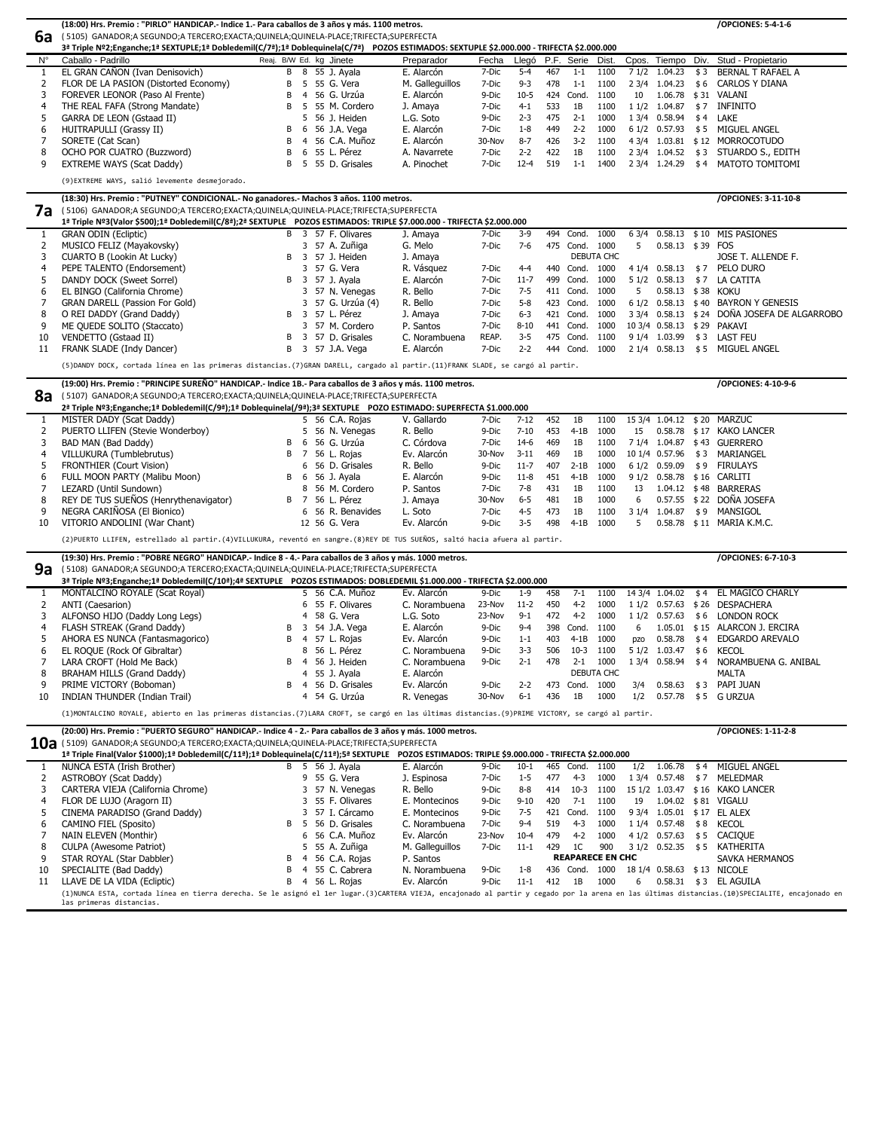|                     | (18:00) Hrs. Premio : "PIRLO" HANDICAP.- Indice 1.- Para caballos de 3 años y más. 1100 metros.                                                     |                         |                |                                |                            |                  |                   |     |                             |                   |           |                    |      | /OPCIONES: 5-4-1-6                           |
|---------------------|-----------------------------------------------------------------------------------------------------------------------------------------------------|-------------------------|----------------|--------------------------------|----------------------------|------------------|-------------------|-----|-----------------------------|-------------------|-----------|--------------------|------|----------------------------------------------|
| 6a                  | (5105) GANADOR;A SEGUNDO;A TERCERO;EXACTA;QUINELA;QUINELA-PLACE;TRIFECTA;SUPERFECTA                                                                 |                         |                |                                |                            |                  |                   |     |                             |                   |           |                    |      |                                              |
|                     | 3ª Triple Nº2;Enganche;1ª SEXTUPLE;1ª Dobledemil(C/7ª);1ª Doblequinela(C/7ª) POZOS ESTIMADOS: SEXTUPLE \$2.000.000 - TRIFECTA \$2.000.000           |                         |                |                                |                            |                  |                   |     |                             |                   |           |                    |      |                                              |
| $N^{\circ}$         | Caballo - Padrillo                                                                                                                                  | Reaj. B/W Ed. kg Jinete |                |                                | Preparador                 | Fecha            | Llegó             |     | P.F. Serie Dist.            |                   | Cpos.     | Tiempo             | Div. | Stud - Propietario                           |
| 1                   | EL GRAN CAÑON (Ivan Denisovich)                                                                                                                     | B                       | 8              | 55 J. Ayala                    | E. Alarcón                 | 7-Dic            | $5 - 4$           | 467 | $1 - 1$                     | 1100              | 71/2      | 1.04.23            | \$3  | <b>BERNAL T RAFAEL A</b>                     |
| 2                   | FLOR DE LA PASION (Distorted Economy)                                                                                                               |                         | 5.             | 55 G. Vera                     | M. Galleguillos            | 7-Dic            | $9 - 3$           | 478 | $1 - 1$                     | 1100              |           | 2 3/4 1.04.23      | \$6  | <b>CARLOS Y DIANA</b>                        |
| 3                   | FOREVER LEONOR (Paso Al Frente)                                                                                                                     |                         | 4              | 56 G. Urzúa                    | E. Alarcón                 | 9-Dic            | $10 - 5$          | 424 | Cond.                       | 1100              | 10        | 1.06.78            |      | \$31 VALANI                                  |
| 4                   | THE REAL FAFA (Strong Mandate)                                                                                                                      | B                       | 5              | 55 M. Cordero                  | J. Amaya                   | 7-Dic            | $4 - 1$           | 533 | 1B                          | 1100              | 11/2      | 1.04.87            | \$7  | <b>INFINITO</b>                              |
| 5                   | GARRA DE LEON (Gstaad II)                                                                                                                           |                         |                | 56 J. Heiden                   | L.G. Soto                  | 9-Dic            | $2 - 3$           | 475 | $2 - 1$                     | 1000              |           | 1 3/4 0.58.94      | \$4  | LAKE                                         |
| 6                   | <b>HUITRAPULLI (Grassy II)</b>                                                                                                                      |                         | 6              | 56 J.A. Vega                   | E. Alarcón                 | 7-Dic            | $1 - 8$           | 449 | $2 - 2$                     | 1000              |           | 6 1/2 0.57.93      | \$5  | MIGUEL ANGEL                                 |
|                     | SORETE (Cat Scan)                                                                                                                                   |                         |                | 56 C.A. Muñoz                  | E. Alarcón                 | 30-Nov           | $8 - 7$           | 426 | $3 - 2$                     | 1100              |           | 4 3/4 1.03.81 \$12 |      | <b>MORROCOTUDO</b>                           |
| 8                   | OCHO POR CUATRO (Buzzword)                                                                                                                          |                         | 6              | 55 L. Pérez                    | A. Navarrete               | 7-Dic            | $2 - 2$           | 422 | 1B                          | 1100              |           | 2 3/4 1.04.52      | \$3  | STUARDO S., EDITH                            |
| 9                   | <b>EXTREME WAYS (Scat Daddy)</b>                                                                                                                    | B                       | 5              | 55 D. Grisales                 | A. Pinochet                | 7-Dic            | $12 - 4$          | 519 | $1 - 1$                     | 1400              |           | 2 3/4 1.24.29      | \$4  | MATOTO TOMITOMI                              |
|                     | (9) EXTREME WAYS, salió levemente desmejorado.                                                                                                      |                         |                |                                |                            |                  |                   |     |                             |                   |           |                    |      |                                              |
|                     |                                                                                                                                                     |                         |                |                                |                            |                  |                   |     |                             |                   |           |                    |      |                                              |
|                     | (18:30) Hrs. Premio : "PUTNEY" CONDICIONAL.- No ganadores.- Machos 3 años. 1100 metros.                                                             |                         |                |                                |                            |                  |                   |     |                             |                   |           |                    |      | /OPCIONES: 3-11-10-8                         |
| 7а                  | (5106) GANADOR;A SEGUNDO;A TERCERO;EXACTA;QUINELA;QUINELA-PLACE;TRIFECTA;SUPERFECTA                                                                 |                         |                |                                |                            |                  |                   |     |                             |                   |           |                    |      |                                              |
|                     | 1ª Triple Nº3(Valor \$500);1ª Dobledemil(C/8ª);2ª SEXTUPLE POZOS ESTIMADOS: TRIPLE \$7.000.000 - TRIFECTA \$2.000.000                               |                         |                |                                |                            |                  |                   |     |                             |                   |           |                    |      |                                              |
| 1                   | <b>GRAN ODIN (Ecliptic)</b>                                                                                                                         | B                       |                | 3 57 F. Olivares               | J. Amaya<br>G. Melo        | 7-Dic<br>7-Dic   | $3-9$<br>$7-6$    |     | 494 Cond.<br>475 Cond. 1000 | 1000              | 63/4<br>5 | 0.58.13 \$39 FOS   |      | 0.58.13 \$10 MIS PASIONES                    |
| 2<br>3              | MUSICO FELIZ (Mayakovsky)<br><b>CUARTO B (Lookin At Lucky)</b>                                                                                      |                         |                | 3 57 A. Zuñiga<br>57 J. Heiden | J. Amaya                   |                  |                   |     |                             | <b>DEBUTA CHC</b> |           |                    |      | JOSE T. ALLENDE F.                           |
| 4                   | PEPE TALENTO (Endorsement)                                                                                                                          |                         |                | 3 57 G. Vera                   | R. Vásquez                 | 7-Dic            | $4 - 4$           |     | 440 Cond.                   | 1000              |           | 4 1/4 0.58.13      | \$7  | PELO DURO                                    |
| 5                   | DANDY DOCK (Sweet Sorrel)                                                                                                                           | B                       | 3              | 57 J. Ayala                    | E. Alarcón                 | 7-Dic            | $11 - 7$          |     | 499 Cond.                   | 1000              |           | 5 1/2 0.58.13      | \$7  | LA CATITA                                    |
| 6                   | EL BINGO (California Chrome)                                                                                                                        |                         | 3              | 57 N. Venegas                  | R. Bello                   | 7-Dic            | $7 - 5$           |     | 411 Cond.                   | 1000              | 5         | 0.58.13 \$38 KOKU  |      |                                              |
| 7                   | <b>GRAN DARELL (Passion For Gold)</b>                                                                                                               |                         |                | 57 G. Urzúa (4)                | R. Bello                   | 7-Dic            | $5 - 8$           |     | 423 Cond.                   | 1000              |           |                    |      | 6 1/2 0.58.13 \$40 BAYRON Y GENESIS          |
| 8                   | O REI DADDY (Grand Daddy)                                                                                                                           | B                       | -3             | 57 L. Pérez                    | J. Amaya                   | 7-Dic            | $6 - 3$           |     | 421 Cond.                   | 1000              |           |                    |      | 3 3/4 0.58.13 \$ 24 DOÑA JOSEFA DE ALGARROBO |
| 9                   | ME QUEDE SOLITO (Staccato)                                                                                                                          |                         |                | 57 M. Cordero                  | P. Santos                  | 7-Dic            | $8 - 10$          |     | 441 Cond.                   | 1000              |           |                    |      | 10 3/4 0.58.13 \$29 PAKAVI                   |
| 10                  | VENDETTO (Gstaad II)                                                                                                                                |                         |                | 57 D. Grisales                 | C. Norambuena              | REAP.            | $3 - 5$           |     | 475 Cond.                   | 1100              |           | 9 1/4 1.03.99      |      | \$3 LAST FEU                                 |
| 11                  | FRANK SLADE (Indy Dancer)                                                                                                                           | B                       |                | 3 57 J.A. Vega                 | E. Alarcón                 | 7-Dic            | $2 - 2$           |     | 444 Cond.                   | 1000              |           | 2 1/4 0.58.13      |      | \$5 MIGUEL ANGEL                             |
|                     |                                                                                                                                                     |                         |                |                                |                            |                  |                   |     |                             |                   |           |                    |      |                                              |
|                     | (5) DANDY DOCK, cortada línea en las primeras distancias.(7) GRAN DARELL, cargado al partir.(11) FRANK SLADE, se cargó al partir.                   |                         |                |                                |                            |                  |                   |     |                             |                   |           |                    |      |                                              |
|                     | (19:00) Hrs. Premio : "PRINCIPE SUREÑO" HANDICAP.- Indice 1B.- Para caballos de 3 años y más. 1100 metros.                                          |                         |                |                                |                            |                  |                   |     |                             |                   |           |                    |      | /OPCIONES: 4-10-9-6                          |
| 8a                  | (5107) GANADOR;A SEGUNDO;A TERCERO;EXACTA;QUINELA;QUINELA-PLACE;TRIFECTA;SUPERFECTA                                                                 |                         |                |                                |                            |                  |                   |     |                             |                   |           |                    |      |                                              |
|                     | 2ª Triple Nº3;Enganche;1ª Dobledemil(C/9ª);1ª Doblequinela(/9ª);3ª SEXTUPLE POZO ESTIMADO: SUPERFECTA \$1.000.000                                   |                         |                |                                |                            |                  |                   |     |                             |                   |           |                    |      |                                              |
|                     | MISTER DADY (Scat Daddy)                                                                                                                            |                         |                | 5 56 C.A. Rojas                | V. Gallardo                | 7-Dic            | $7 - 12$          | 452 | 1B                          | 1100              |           |                    |      | 15 3/4 1.04.12 \$20 MARZUC                   |
| 2                   | PUERTO LLIFEN (Stevie Wonderboy)                                                                                                                    |                         | 5.             | 56 N. Venegas                  | R. Bello                   | 9-Dic            | $7 - 10$          | 453 | $4-1B$                      | 1000              | 15        |                    |      | 0.58.78 \$17 KAKO LANCER                     |
| 3                   | BAD MAN (Bad Daddy)                                                                                                                                 |                         | -6             | 56 G. Urzúa                    | C. Córdova                 | 7-Dic            | $14-6$            | 469 | 1B                          | 1100              |           |                    |      | 7 1/4 1.04.87 \$43 GUERRERO                  |
| 4                   | VILLUKURA (Tumblebrutus)                                                                                                                            | B                       | 7              | 56 L. Rojas                    | Ev. Alarcón                | 30-Nov           | $3 - 11$          | 469 | 1B                          | 1000              |           | 10 1/4 0.57.96     | \$3  | MARIANGEL                                    |
| 5                   | <b>FRONTHIER (Court Vision)</b>                                                                                                                     |                         |                | 6 56 D. Grisales               | R. Bello                   | 9-Dic            | $11-7$            | 407 | $2-1B$                      | 1000              |           | 6 1/2 0.59.09      |      | \$9 FIRULAYS                                 |
| 6                   | FULL MOON PARTY (Malibu Moon)                                                                                                                       |                         | -6             | 56 J. Ayala                    | E. Alarcón                 | 9-Dic            | $11 - 8$          | 451 | $4-1B$                      | 1000              |           |                    |      | 9 1/2 0.58.78 \$16 CARLITI                   |
| 7                   | LEZARD (Until Sundown)                                                                                                                              |                         |                | 8 56 M. Cordero                | P. Santos                  | 7-Dic            | $7 - 8$           | 431 | 1B                          | 1100              | 13        |                    |      | 1.04.12 \$48 BARRERAS                        |
| 8                   | REY DE TUS SUEÑOS (Henrythenavigator)                                                                                                               | B                       | $\overline{7}$ | 56 L. Pérez                    | J. Amaya                   | 30-Nov           | $6 - 5$           | 481 | 1B                          | 1000              | 6         |                    |      | 0.57.55 \$22 DOÑA JOSEFA                     |
| 9                   | NEGRA CARIÑOSA (El Bionico)                                                                                                                         |                         |                | 6 56 R. Benavides              | L. Soto                    | 7-Dic            | $4 - 5$           | 473 | 1B                          | 1100              | 31/4      | 1.04.87            | \$9  | MANSIGOL                                     |
| 10                  | VITORIO ANDOLINI (War Chant)                                                                                                                        |                         |                | 12 56 G. Vera                  | Ev. Alarcón                | 9-Dic            | $3 - 5$           | 498 | $4-1B$                      | 1000              | 5         |                    |      | 0.58.78 \$11 MARIA K.M.C.                    |
|                     | (2) PUERTO LLIFEN, estrellado al partir. (4) VILLUKURA, reventó en sangre. (8) REY DE TUS SUEÑOS, saltó hacia afuera al partir.                     |                         |                |                                |                            |                  |                   |     |                             |                   |           |                    |      |                                              |
|                     |                                                                                                                                                     |                         |                |                                |                            |                  |                   |     |                             |                   |           |                    |      |                                              |
|                     | (19:30) Hrs. Premio : "POBRE NEGRO" HANDICAP.- Indice 8 - 4.- Para caballos de 3 años y más. 1000 metros.                                           |                         |                |                                |                            |                  |                   |     |                             |                   |           |                    |      | /OPCIONES: 6-7-10-3                          |
| 9a                  | (5108) GANADOR;A SEGUNDO;A TERCERO;EXACTA;QUINELA;QUINELA-PLACE;TRIFECTA;SUPERFECTA                                                                 |                         |                |                                |                            |                  |                   |     |                             |                   |           |                    |      |                                              |
|                     | 3ª Triple Nº3;Enganche;1ª Dobledemil(C/10ª);4ª SEXTUPLE POZOS ESTIMADOS: DOBLEDEMIL \$1.000.000 - TRIFECTA \$2.000.000                              |                         |                | 5 56 C.A. Muñoz                | Ev. Alarcón                |                  |                   | 458 | $7 - 1$                     | 1100              |           | 14 3/4 1.04.02     |      | EL MAGICO CHARLY                             |
| 1                   | MONTALCINO ROYALE (Scat Royal)<br>ANTI (Caesarion)                                                                                                  |                         |                | 55 F. Olivares                 |                            | 9-Dic            | $1 - 9$<br>$11-2$ | 450 | $4-2$                       | 1000              |           |                    | \$4  | 1 1/2 0.57.63 \$26 DESPACHERA                |
| $\overline{2}$<br>3 | ALFONSO HIJO (Daddy Long Legs)                                                                                                                      |                         | 6<br>4         | 58 G. Vera                     | C. Norambuena<br>L.G. Soto | 23-Nov<br>23-Nov | $9 - 1$           | 472 | $4-2$                       | 1000              |           | 1 1/2 0.57.63      | \$6  | <b>LONDON ROCK</b>                           |
| $\overline{4}$      | FLASH STREAK (Grand Daddy)                                                                                                                          |                         |                | 3 54 J.A. Vega                 | E. Alarcón                 | 9-Dic            | $9 - 4$           |     | 398 Cond.                   | 1100              | 6         |                    |      | 1.05.01 \$15 ALARCON J. ERCIRA               |
| 5                   | AHORA ES NUNCA (Fantasmagorico)                                                                                                                     | B                       |                | 4 57 L. Rojas                  | Ev. Alarcón                | 9-Dic            | $1 - 1$           | 403 | $4-1B$                      | 1000              | pzo       | 0.58.78            | \$4  | <b>EDGARDO AREVALO</b>                       |
| 6                   | EL ROQUE (Rock Of Gibraltar)                                                                                                                        |                         | 8              | 56 L. Pérez                    | C. Norambuena              | 9-Dic            | $3 - 3$           | 506 | $10-3$                      | 1100              |           | 5 1/2 1.03.47      | \$6  | <b>KECOL</b>                                 |
| 7                   | LARA CROFT (Hold Me Back)                                                                                                                           | B.                      | -4             | 56 J. Heiden                   | C. Norambuena              | 9-Dic            | $2 - 1$           | 478 | $2 - 1$                     | 1000              |           | 1 3/4 0.58.94      | \$4  | NORAMBUENA G. ANIBAL                         |
| 8                   | BRAHAM HILLS (Grand Daddy)                                                                                                                          |                         |                | 4 55 J. Ayala                  | E. Alarcón                 |                  |                   |     |                             | DEBUTA CHC        |           |                    |      | <b>MALTA</b>                                 |
| 9                   | PRIME VICTORY (Boboman)                                                                                                                             | B                       |                | 4 56 D. Grisales               | Ev. Alarcón                | 9-Dic            | $2 - 2$           |     | 473 Cond.                   | 1000              | 3/4       | 0.58.63            |      | \$3 PAPI JUAN                                |
| 10                  | <b>INDIAN THUNDER (Indian Trail)</b>                                                                                                                |                         |                | 4 54 G. Urzúa                  | R. Venegas                 | 30-Nov           | $6 - 1$           | 436 | 1B                          | 1000              | 1/2       | 0.57.78            | \$5  | <b>G URZUA</b>                               |
|                     |                                                                                                                                                     |                         |                |                                |                            |                  |                   |     |                             |                   |           |                    |      |                                              |
|                     | (1) MONTALCINO ROYALE, abierto en las primeras distancias.(7) LARA CROFT, se cargó en las últimas distancias.(9) PRIME VICTORY, se cargó al partir. |                         |                |                                |                            |                  |                   |     |                             |                   |           |                    |      |                                              |
|                     | (20:00) Hrs. Premio : "PUERTO SEGURO" HANDICAP.- Indice 4 - 2.- Para caballos de 3 años y más. 1000 metros.                                         |                         |                |                                |                            |                  |                   |     |                             |                   |           |                    |      | /OPCIONES: 1-11-2-8                          |
|                     | $10a$ (5109) GANADOR;A SEGUNDO;A TERCERO;EXACTA;QUINELA;QUINELA-PLACE;TRIFECTA;SUPERFECTA                                                           |                         |                |                                |                            |                  |                   |     |                             |                   |           |                    |      |                                              |
|                     | 1ª Triple Final(Valor \$1000);1ª Dobledemil(C/11ª);1ª Doblequinela(C/11ª);5ª SEXTUPLE POZOS ESTIMADOS: TRIPLE \$9.000.000 - TRIFECTA \$2.000.000    |                         |                |                                |                            |                  |                   |     |                             |                   |           |                    |      |                                              |
| $\mathbf{1}$        | NUNCA ESTA (Irish Brother)                                                                                                                          |                         |                | B 5 56 J. Ayala                | E. Alarcón                 | 9-Dic            | $10-1$            |     | 465 Cond.                   | 1100              | 1/2       | 1.06.78            | \$4  | MIGUEL ANGEL                                 |
| 2                   | <b>ASTROBOY (Scat Daddy)</b>                                                                                                                        |                         |                | 9 55 G. Vera                   | J. Espinosa                | 7-Dic            | $1 - 5$           | 477 | $4 - 3$                     | 1000              |           | 1 3/4 0.57.48      |      | \$7 MELEDMAR                                 |
| 3                   | CARTERA VIEJA (California Chrome)                                                                                                                   |                         | 3              | 57 N. Venegas                  | R. Bello                   | 9-Dic            | 8-8               | 414 | $10-3$                      | 1100              |           |                    |      | 15 1/2 1.03.47 \$16 KAKO LANCER              |
| 4                   | FLOR DE LUJO (Aragorn II)                                                                                                                           |                         | 3              | 55 F. Olivares                 | E. Montecinos              | 9-Dic            | $9 - 10$          | 420 | $7 - 1$                     | 1100              | 19        |                    |      | 1.04.02 \$81 VIGALU                          |
| 5                   | CINEMA PARADISO (Grand Daddy)                                                                                                                       |                         |                | 3 57 I. Cárcamo                | E. Montecinos              | 9-Dic            | $7 - 5$           |     | 421 Cond.                   | 1100              |           |                    |      | 9 3/4 1.05.01 \$17 EL ALEX                   |
|                     |                                                                                                                                                     |                         |                |                                |                            |                  |                   |     |                             |                   |           |                    |      |                                              |

|   | CAMINO FIEL (Sposito)          |  | B 5 56 D. Grisales | C. Norambuena   | 7-Dic 9-4 519 4-3 1000 1 1/4 0.57.48 \$8 KECOL |  |                         |  |                                                    |
|---|--------------------------------|--|--------------------|-----------------|------------------------------------------------|--|-------------------------|--|----------------------------------------------------|
|   | NAIN ELEVEN (Monthir)          |  | 6 56 C.A. Muñoz    | Ev. Alarcón     |                                                |  |                         |  | 23-Nov 10-4 479 4-2 1000 4 1/2 0.57.63 \$5 CACIQUE |
|   | 8 CULPA (Awesome Patriot)      |  | 5 55 A. Zuñiga     | M. Galleguillos |                                                |  |                         |  | 7-Dic 11-1 429 1C 900 3 1/2 0.52.35 \$5 KATHERITA  |
| 9 | STAR ROYAL (Star Dabbler)      |  | B 4 56 C.A. Rojas  | P. Santos       |                                                |  | <b>REAPARECE EN CHC</b> |  | SAVKA HERMANOS                                     |
|   | 10 SPECIALITE (Bad Daddy)      |  | B 4 55 C. Cabrera  | N. Norambuena   | 9-Dic 1-8                                      |  |                         |  | 436 Cond. 1000 18 1/4 0.58.63 \$13 NICOLE          |
|   | 11 LLAVE DE LA VIDA (Ecliptic) |  | B 4 56 L. Rojas    | Ev. Alarcón     | 9-Dic 11-1 412 1B 1000 6                       |  |                         |  | 0.58.31 \$ 3 EL AGUILA                             |
|   |                                |  |                    |                 |                                                |  |                         |  |                                                    |

(1)NUNCA ESTA, cortada línea en tierra derecha. Se le asignó el 1er lugar.(3)CARTERA VIEJA, encajonado al partir y cegado por la arena en las últimas distancias.(10)SPECIALITE, encajonado en las primeras distancias.